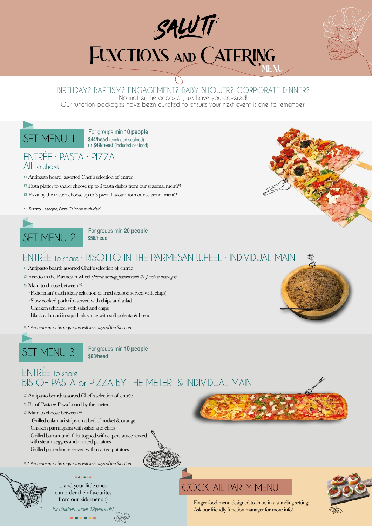

# **FUNCTIONS AND CATERING**

## BIRTHDAY? BAPTISM? ENGAGEMENT? BABY SHOWER? CORPORATE DINNER?

No matter the occasion, we have you covered!

Our function packages have been curated to ensure your next event is one to remember!

SET MENU 1 For groups min 10 people **\$44/head** (excluded seafood) or **\$49/head** (included seafood)

## ENTRÉE · PASTA · PIZZA All to share

- ¤ Antipasto board: assorted Chef's selection of entrée
- $\Box$  Pasta platter to share: choose up to 3 pasta dishes from our seasonal menù\*1
- $\alpha$  Pizza by the meter: choose up to 3 pizza flavour from our seasonal menù\*1

*\* 1. Risotto, Lasagna, Pizza Calzone excluded.*



**\$58/head**

## ENTRÉE to share · RISOTTO IN THE PARMESAN WHEEL · INDIVIDUAL MAIN

- ¤Antipasto board: assorted Chef's selection of entrée
- ¤ Risotto in the Parmesan wheel *(Please arrange flavour with the function manager)*
- $\Box$  Main to choose between \*2:
	- · Fisherman' catch (daily selection of fried seafood served with chips)
	- · Slow cooked pork ribs served with chips and salad
	- · Chicken schnitzel with salad and chips
	- · Black calamari in squid ink sauce with soft polenta & bread
- *\* 2. Pre-order must be requested within 5 days of the function.*



**\$63/head**

ENTRÉE to share BIS OF PASTA or PIZZA BY THE METER & INDIVIDUAL MAIN

- ¤ Antipasto board: assorted Chef's selection of entrée
- ¤ Bis of Pasta *or* Pizza board by the meter
- ¤ Main to choose between \*2 :
	- · Grilled calamari strips on a bed of rocket & orange
- · Chicken parmigiana with salad and chips
- · Grilled barramundi fillet topped with capers sauce served
- with steam veggies and roasted potatoes
- · Grilled porterhouse served with roasted potatoes

*\* 2. Pre-order must be requested within 5 days of the function.*



can order their favourites from our kids menu :)

for children under 12years old

# ...and your little ones COCKTAIL PARTY MENU



Finger food menu designed to share in a standing setting. Ask our friendly function manager for more info!